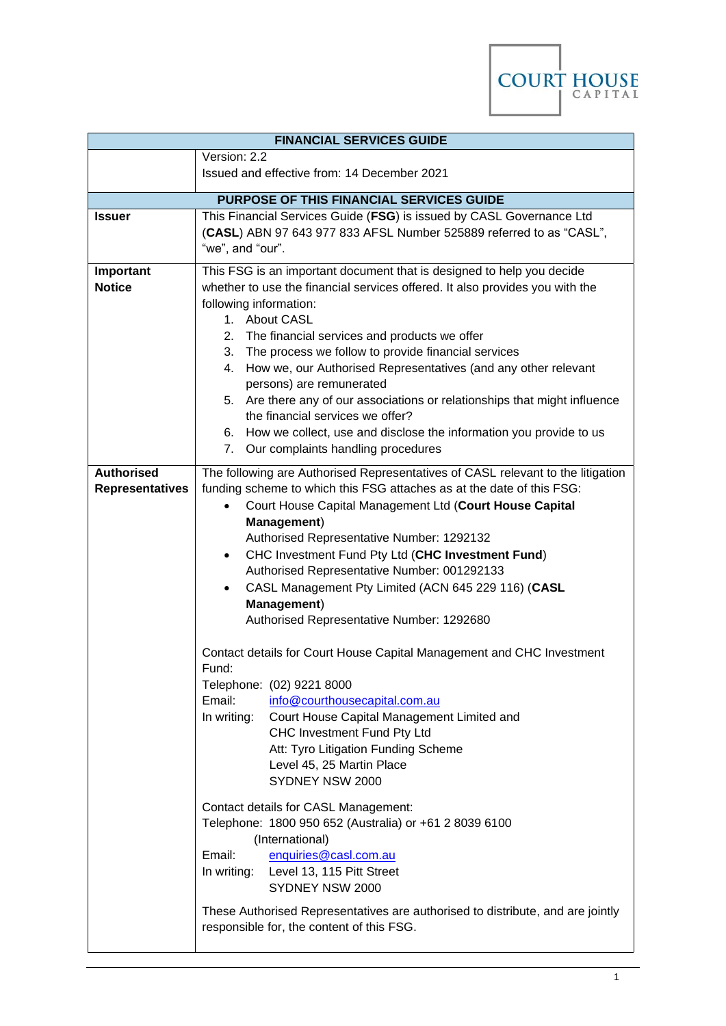

| <b>FINANCIAL SERVICES GUIDE</b>                                                       |                                                                                                                                                                                                                                                                                                                                                                                                                                                                                                                                                                                                                                                    |
|---------------------------------------------------------------------------------------|----------------------------------------------------------------------------------------------------------------------------------------------------------------------------------------------------------------------------------------------------------------------------------------------------------------------------------------------------------------------------------------------------------------------------------------------------------------------------------------------------------------------------------------------------------------------------------------------------------------------------------------------------|
|                                                                                       | Version: 2.2<br>Issued and effective from: 14 December 2021                                                                                                                                                                                                                                                                                                                                                                                                                                                                                                                                                                                        |
|                                                                                       | PURPOSE OF THIS FINANCIAL SERVICES GUIDE                                                                                                                                                                                                                                                                                                                                                                                                                                                                                                                                                                                                           |
| This Financial Services Guide (FSG) is issued by CASL Governance Ltd<br><b>Issuer</b> |                                                                                                                                                                                                                                                                                                                                                                                                                                                                                                                                                                                                                                                    |
|                                                                                       | (CASL) ABN 97 643 977 833 AFSL Number 525889 referred to as "CASL",<br>"we", and "our".                                                                                                                                                                                                                                                                                                                                                                                                                                                                                                                                                            |
| Important<br><b>Notice</b>                                                            | This FSG is an important document that is designed to help you decide<br>whether to use the financial services offered. It also provides you with the<br>following information:<br>1. About CASL<br>2. The financial services and products we offer<br>3. The process we follow to provide financial services<br>4. How we, our Authorised Representatives (and any other relevant<br>persons) are remunerated<br>5. Are there any of our associations or relationships that might influence<br>the financial services we offer?<br>6. How we collect, use and disclose the information you provide to us<br>7. Our complaints handling procedures |
| <b>Authorised</b><br><b>Representatives</b>                                           | The following are Authorised Representatives of CASL relevant to the litigation<br>funding scheme to which this FSG attaches as at the date of this FSG:<br>Court House Capital Management Ltd (Court House Capital<br>$\bullet$<br>Management)<br>Authorised Representative Number: 1292132<br>CHC Investment Fund Pty Ltd (CHC Investment Fund)<br>$\bullet$<br>Authorised Representative Number: 001292133<br>CASL Management Pty Limited (ACN 645 229 116) (CASL<br>Management)<br>Authorised Representative Number: 1292680<br>Contact details for Court House Capital Management and CHC Investment<br>Fund:                                 |
|                                                                                       | Telephone: (02) 9221 8000<br>Email:<br>info@courthousecapital.com.au<br>Court House Capital Management Limited and<br>In writing:<br>CHC Investment Fund Pty Ltd<br>Att: Tyro Litigation Funding Scheme<br>Level 45, 25 Martin Place<br>SYDNEY NSW 2000                                                                                                                                                                                                                                                                                                                                                                                            |
|                                                                                       | Contact details for CASL Management:<br>Telephone: 1800 950 652 (Australia) or +61 2 8039 6100<br>(International)<br>Email:<br>enquiries@casl.com.au<br>In writing: Level 13, 115 Pitt Street<br>SYDNEY NSW 2000<br>These Authorised Representatives are authorised to distribute, and are jointly                                                                                                                                                                                                                                                                                                                                                 |
|                                                                                       | responsible for, the content of this FSG.                                                                                                                                                                                                                                                                                                                                                                                                                                                                                                                                                                                                          |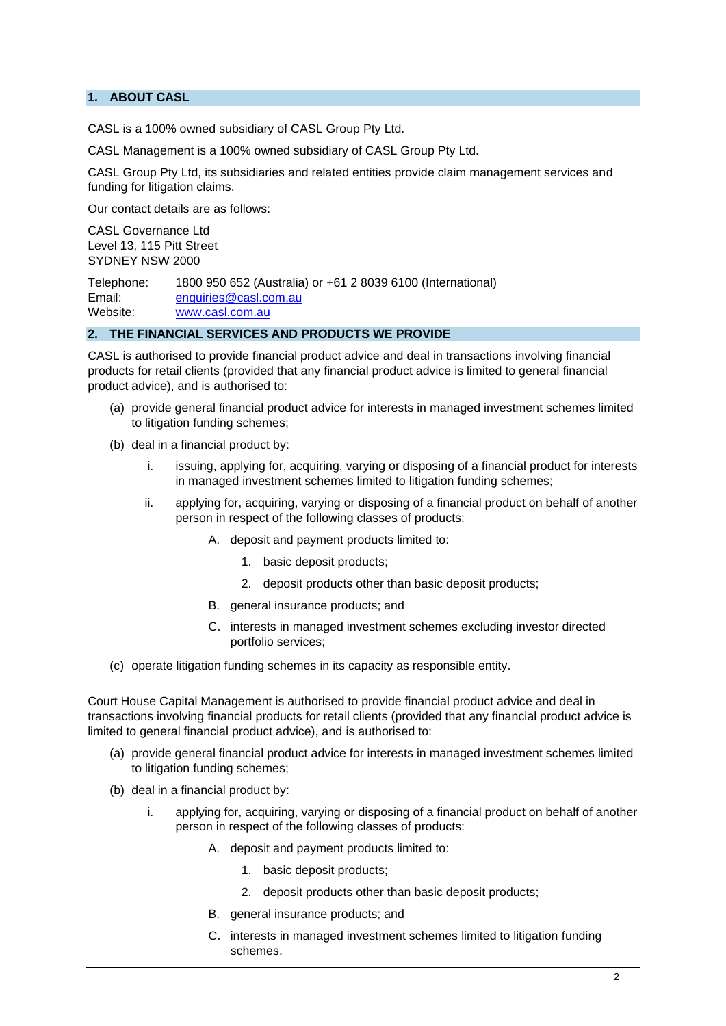# **1. ABOUT CASL**

CASL is a 100% owned subsidiary of CASL Group Pty Ltd.

CASL Management is a 100% owned subsidiary of CASL Group Pty Ltd.

CASL Group Pty Ltd, its subsidiaries and related entities provide claim management services and funding for litigation claims.

Our contact details are as follows:

CASL Governance Ltd Level 13, 115 Pitt Street SYDNEY NSW 2000

Telephone: 1800 950 652 (Australia) or +61 2 8039 6100 (International) Email: [enquiries@casl.com.au](mailto:enquiries@casl.com.au) Website: [www.casl.com.au](http://www.casl.com.au/)

### **2. THE FINANCIAL SERVICES AND PRODUCTS WE PROVIDE**

CASL is authorised to provide financial product advice and deal in transactions involving financial products for retail clients (provided that any financial product advice is limited to general financial product advice), and is authorised to:

- (a) provide general financial product advice for interests in managed investment schemes limited to litigation funding schemes;
- (b) deal in a financial product by:
	- i. issuing, applying for, acquiring, varying or disposing of a financial product for interests in managed investment schemes limited to litigation funding schemes;
	- ii. applying for, acquiring, varying or disposing of a financial product on behalf of another person in respect of the following classes of products:
		- A. deposit and payment products limited to:
			- 1. basic deposit products;
			- 2. deposit products other than basic deposit products;
		- B. general insurance products; and
		- C. interests in managed investment schemes excluding investor directed portfolio services;
- (c) operate litigation funding schemes in its capacity as responsible entity.

Court House Capital Management is authorised to provide financial product advice and deal in transactions involving financial products for retail clients (provided that any financial product advice is limited to general financial product advice), and is authorised to:

- (a) provide general financial product advice for interests in managed investment schemes limited to litigation funding schemes;
- (b) deal in a financial product by:
	- i. applying for, acquiring, varying or disposing of a financial product on behalf of another person in respect of the following classes of products:
		- A. deposit and payment products limited to:
			- 1. basic deposit products;
			- 2. deposit products other than basic deposit products;
		- B. general insurance products; and
		- C. interests in managed investment schemes limited to litigation funding schemes.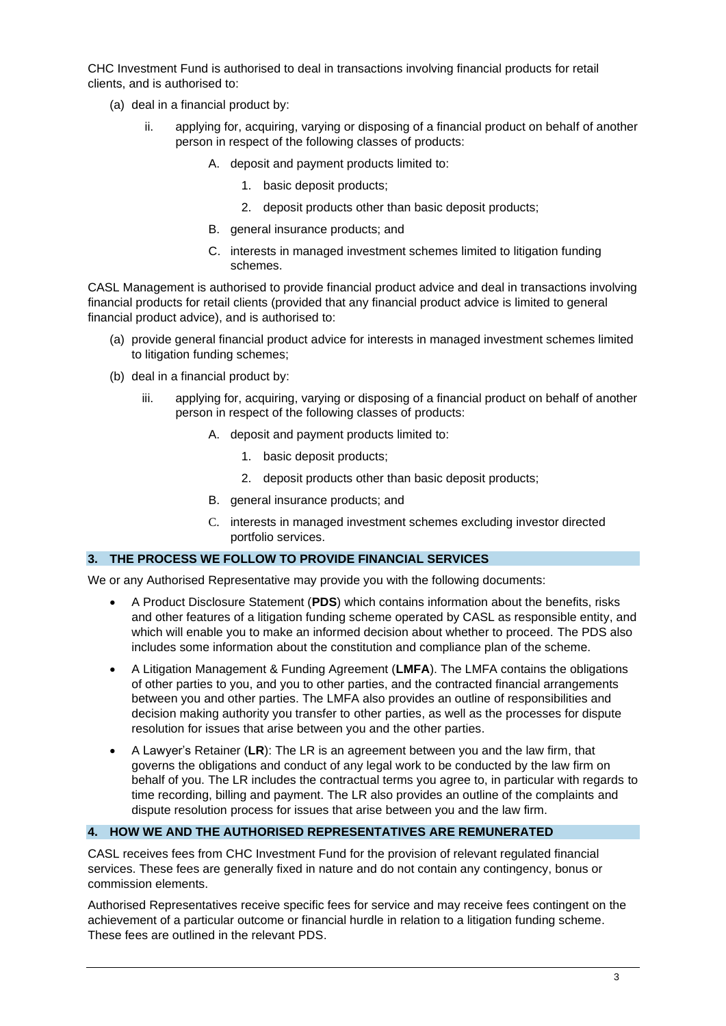CHC Investment Fund is authorised to deal in transactions involving financial products for retail clients, and is authorised to:

- (a) deal in a financial product by:
	- ii. applying for, acquiring, varying or disposing of a financial product on behalf of another person in respect of the following classes of products:
		- A. deposit and payment products limited to:
			- 1. basic deposit products;
			- 2. deposit products other than basic deposit products;
		- B. general insurance products; and
		- C. interests in managed investment schemes limited to litigation funding schemes.

CASL Management is authorised to provide financial product advice and deal in transactions involving financial products for retail clients (provided that any financial product advice is limited to general financial product advice), and is authorised to:

- (a) provide general financial product advice for interests in managed investment schemes limited to litigation funding schemes;
- (b) deal in a financial product by:
	- iii. applying for, acquiring, varying or disposing of a financial product on behalf of another person in respect of the following classes of products:
		- A. deposit and payment products limited to:
			- 1. basic deposit products;
			- 2. deposit products other than basic deposit products;
		- B. general insurance products; and
		- C. interests in managed investment schemes excluding investor directed portfolio services.

## **3. THE PROCESS WE FOLLOW TO PROVIDE FINANCIAL SERVICES**

We or any Authorised Representative may provide you with the following documents:

- A Product Disclosure Statement (**PDS**) which contains information about the benefits, risks and other features of a litigation funding scheme operated by CASL as responsible entity, and which will enable you to make an informed decision about whether to proceed. The PDS also includes some information about the constitution and compliance plan of the scheme.
- A Litigation Management & Funding Agreement (**LMFA**). The LMFA contains the obligations of other parties to you, and you to other parties, and the contracted financial arrangements between you and other parties. The LMFA also provides an outline of responsibilities and decision making authority you transfer to other parties, as well as the processes for dispute resolution for issues that arise between you and the other parties.
- A Lawyer's Retainer (**LR**): The LR is an agreement between you and the law firm, that governs the obligations and conduct of any legal work to be conducted by the law firm on behalf of you. The LR includes the contractual terms you agree to, in particular with regards to time recording, billing and payment. The LR also provides an outline of the complaints and dispute resolution process for issues that arise between you and the law firm.

#### **4. HOW WE AND THE AUTHORISED REPRESENTATIVES ARE REMUNERATED**

CASL receives fees from CHC Investment Fund for the provision of relevant regulated financial services. These fees are generally fixed in nature and do not contain any contingency, bonus or commission elements.

Authorised Representatives receive specific fees for service and may receive fees contingent on the achievement of a particular outcome or financial hurdle in relation to a litigation funding scheme. These fees are outlined in the relevant PDS.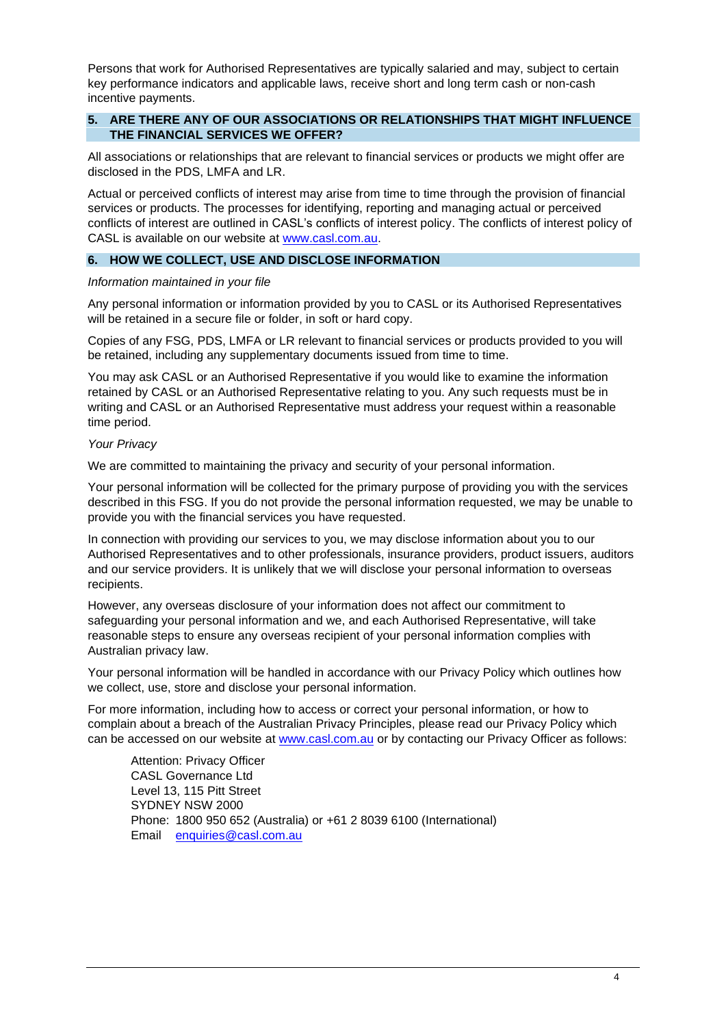Persons that work for Authorised Representatives are typically salaried and may, subject to certain key performance indicators and applicable laws, receive short and long term cash or non-cash incentive payments.

## **5. ARE THERE ANY OF OUR ASSOCIATIONS OR RELATIONSHIPS THAT MIGHT INFLUENCE THE FINANCIAL SERVICES WE OFFER?**

All associations or relationships that are relevant to financial services or products we might offer are disclosed in the PDS, LMFA and LR.

Actual or perceived conflicts of interest may arise from time to time through the provision of financial services or products. The processes for identifying, reporting and managing actual or perceived conflicts of interest are outlined in CASL's conflicts of interest policy. The conflicts of interest policy of CASL is available on our website at [www.casl.com.au.](http://www.casl.com.au/)

## **6. HOW WE COLLECT, USE AND DISCLOSE INFORMATION**

#### *Information maintained in your file*

Any personal information or information provided by you to CASL or its Authorised Representatives will be retained in a secure file or folder, in soft or hard copy.

Copies of any FSG, PDS, LMFA or LR relevant to financial services or products provided to you will be retained, including any supplementary documents issued from time to time.

You may ask CASL or an Authorised Representative if you would like to examine the information retained by CASL or an Authorised Representative relating to you. Any such requests must be in writing and CASL or an Authorised Representative must address your request within a reasonable time period.

#### *Your Privacy*

We are committed to maintaining the privacy and security of your personal information.

Your personal information will be collected for the primary purpose of providing you with the services described in this FSG. If you do not provide the personal information requested, we may be unable to provide you with the financial services you have requested.

In connection with providing our services to you, we may disclose information about you to our Authorised Representatives and to other professionals, insurance providers, product issuers, auditors and our service providers. It is unlikely that we will disclose your personal information to overseas recipients.

However, any overseas disclosure of your information does not affect our commitment to safeguarding your personal information and we, and each Authorised Representative, will take reasonable steps to ensure any overseas recipient of your personal information complies with Australian privacy law.

Your personal information will be handled in accordance with our Privacy Policy which outlines how we collect, use, store and disclose your personal information.

For more information, including how to access or correct your personal information, or how to complain about a breach of the Australian Privacy Principles, please read our Privacy Policy which can be accessed on our website at [www.casl.com.au](http://www.casl.com.au/) or by contacting our Privacy Officer as follows:

Attention: Privacy Officer CASL Governance Ltd Level 13, 115 Pitt Street SYDNEY NSW 2000 Phone: 1800 950 652 (Australia) or +61 2 8039 6100 (International) Email [enquiries@casl.com.au](mailto:enquiries@casl.com.au)